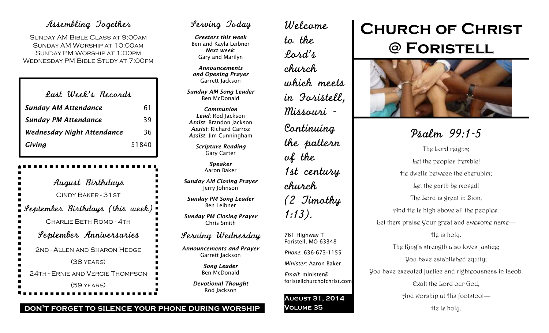## Assembling Together

SUNDAY AM BIBLE CLASS AT 9:00AM Sunday AM Worship at 10:00am Sunday PM Worship at 1:00pm Wednesday PM Bible Study at 7:00pm

| Last Week's Records         |        |
|-----------------------------|--------|
| <b>Sunday AM Attendance</b> | 61     |
| <b>Sunday PM Attendance</b> | 39     |
| Wednesday Night Attendance  | 36     |
| Giving                      | \$1840 |

August Birthdays Cindy Baker - 31st September Birthdays (this week) Charlie Beth Romo - 4th September Anniversaries 2nd - Allen and Sharon Hedge (38 years) 24th - Ernie and Vergie Thompson (59 years)

## Serving Today

*Greeters this week* Ben and Kayla Leibner *Next week*: Gary and Marilyn

*Announcements and Opening Prayer* Garrett Jackson

*Sunday AM Song Leader* Ben McDonald

*Communion Lead*: Rod Jackson *Assist*: Brandon Jackson *Assist*: Richard Carroz *Assist*: Jim Cunningham

> *Scripture Reading* Gary Carter

> > *Speaker* Aaron Baker

*Sunday AM Closing Prayer* Jerry Johnson

*Sunday PM Song Leader* Ben Leibner

*Sunday PM Closing Prayer* Chris Smith

### Serving Wednesday

*Announcements and Prayer* Garrett Jackson

> *Song Leader* Ben McDonald

*Devotional Thought* Rod Jackson

Welcome to the Lord's church which meets in Foristell, Missouri - Continuing the pattern of the 1st century church (2 Timothy 1:13). 761 Highway T Foristell, MO 63348 *Phone*: 636-673-1155 *Minister*: Aaron Baker *Email*: minister@ foristellchurchofchrist.com

**August 31, 2014**

**Volume 35**

# **Church of Christ @ Foristell**



Psalm 99:1-5 The Lord reigns; Let the peoples tremble! He dwells between the cherubim; Let the earth be moved! The Lord is great in Zion, And He is high above all the peoples. Let them praise Your great and awesome name— He is holy. The King's strength also loves justice; You have established equity; You have executed justice and righteousness in Jacob. Exalt the Lord our God, And worship at His footstool— He is holy.

#### **don't forget to silence your phone during worship**